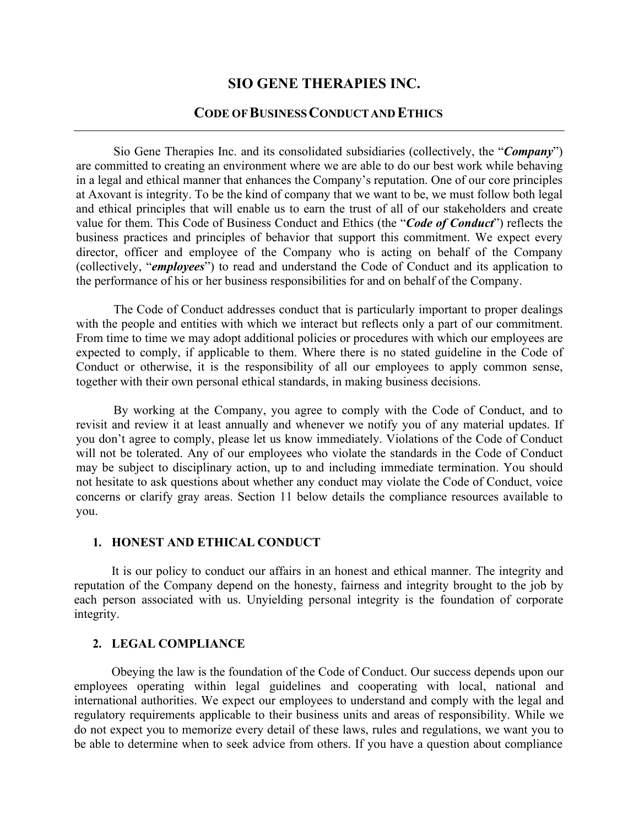# **SIO GENE THERAPIES INC.**

# **CODE OFBUSINESSCONDUCTAND ETHICS**

Sio Gene Therapies Inc. and its consolidated subsidiaries (collectively, the "*Company*") are committed to creating an environment where we are able to do our best work while behaving in a legal and ethical manner that enhances the Company's reputation. One of our core principles at Axovant is integrity. To be the kind of company that we want to be, we must follow both legal and ethical principles that will enable us to earn the trust of all of our stakeholders and create value for them. This Code of Business Conduct and Ethics (the "*Code of Conduct*") reflects the business practices and principles of behavior that support this commitment. We expect every director, officer and employee of the Company who is acting on behalf of the Company (collectively, "*employees*") to read and understand the Code of Conduct and its application to the performance of his or her business responsibilities for and on behalf of the Company.

The Code of Conduct addresses conduct that is particularly important to proper dealings with the people and entities with which we interact but reflects only a part of our commitment. From time to time we may adopt additional policies or procedures with which our employees are expected to comply, if applicable to them. Where there is no stated guideline in the Code of Conduct or otherwise, it is the responsibility of all our employees to apply common sense, together with their own personal ethical standards, in making business decisions.

By working at the Company, you agree to comply with the Code of Conduct, and to revisit and review it at least annually and whenever we notify you of any material updates. If you don't agree to comply, please let us know immediately. Violations of the Code of Conduct will not be tolerated. Any of our employees who violate the standards in the Code of Conduct may be subject to disciplinary action, up to and including immediate termination. You should not hesitate to ask questions about whether any conduct may violate the Code of Conduct, voice concerns or clarify gray areas. Se[ction 11 b](#page-9-0)elow details the compliance resources available to you.

#### **1. HONEST AND ETHICAL CONDUCT**

It is our policy to conduct our affairs in an honest and ethical manner. The integrity and reputation of the Company depend on the honesty, fairness and integrity brought to the job by each person associated with us. Unyielding personal integrity is the foundation of corporate integrity.

#### <span id="page-0-0"></span>**2. LEGAL COMPLIANCE**

Obeying the law is the foundation of the Code of Conduct. Our success depends upon our employees operating within legal guidelines and cooperating with local, national and international authorities. We expect our employees to understand and comply with the legal and regulatory requirements applicable to their business units and areas of responsibility. While we do not expect you to memorize every detail of these laws, rules and regulations, we want you to be able to determine when to seek advice from others. If you have a question about compliance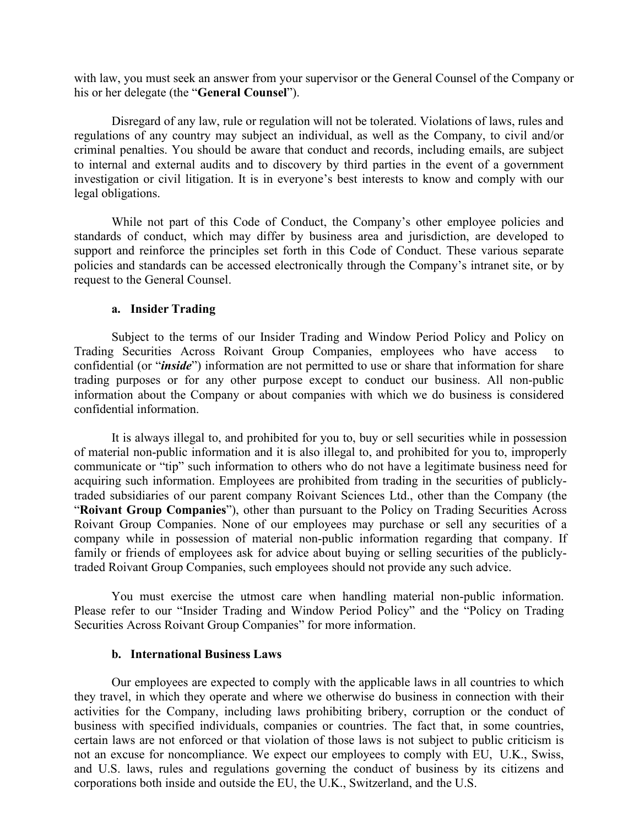with law, you must seek an answer from your supervisor or the General Counsel of the Company or his or her delegate (the "**General Counsel**").

Disregard of any law, rule or regulation will not be tolerated. Violations of laws, rules and regulations of any country may subject an individual, as well as the Company, to civil and/or criminal penalties. You should be aware that conduct and records, including emails, are subject to internal and external audits and to discovery by third parties in the event of a government investigation or civil litigation. It is in everyone's best interests to know and comply with our legal obligations.

While not part of this Code of Conduct, the Company's other employee policies and standards of conduct, which may differ by business area and jurisdiction, are developed to support and reinforce the principles set forth in this Code of Conduct. These various separate policies and standards can be accessed electronically through the Company's intranet site, or by request to the General Counsel.

#### **a. Insider Trading**

Subject to the terms of our Insider Trading and Window Period Policy and Policy on Trading Securities Across Roivant Group Companies, employees who have access to confidential (or "*inside*") information are not permitted to use or share that information for share trading purposes or for any other purpose except to conduct our business. All non-public information about the Company or about companies with which we do business is considered confidential information.

It is always illegal to, and prohibited for you to, buy or sell securities while in possession of material non-public information and it is also illegal to, and prohibited for you to, improperly communicate or "tip" such information to others who do not have a legitimate business need for acquiring such information. Employees are prohibited from trading in the securities of publiclytraded subsidiaries of our parent company Roivant Sciences Ltd., other than the Company (the "**Roivant Group Companies**"), other than pursuant to the Policy on Trading Securities Across Roivant Group Companies. None of our employees may purchase or sell any securities of a company while in possession of material non-public information regarding that company. If family or friends of employees ask for advice about buying or selling securities of the publiclytraded Roivant Group Companies, such employees should not provide any such advice.

You must exercise the utmost care when handling material non-public information. Please refer to our "Insider Trading and Window Period Policy" and the "Policy on Trading Securities Across Roivant Group Companies" for more information.

#### **b. International Business Laws**

Our employees are expected to comply with the applicable laws in all countries to which they travel, in which they operate and where we otherwise do business in connection with their activities for the Company, including laws prohibiting bribery, corruption or the conduct of business with specified individuals, companies or countries. The fact that, in some countries, certain laws are not enforced or that violation of those laws is not subject to public criticism is not an excuse for noncompliance. We expect our employees to comply with EU, U.K., Swiss, and U.S. laws, rules and regulations governing the conduct of business by its citizens and corporations both inside and outside the EU, the U.K., Switzerland, and the U.S.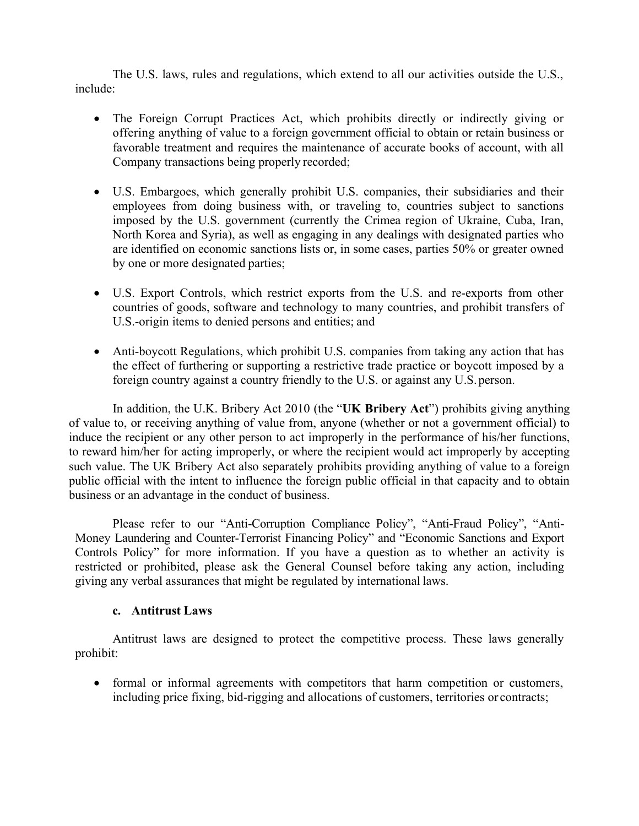The U.S. laws, rules and regulations, which extend to all our activities outside the U.S., include:

- The Foreign Corrupt Practices Act, which prohibits directly or indirectly giving or offering anything of value to a foreign government official to obtain or retain business or favorable treatment and requires the maintenance of accurate books of account, with all Company transactions being properly recorded;
- U.S. Embargoes, which generally prohibit U.S. companies, their subsidiaries and their employees from doing business with, or traveling to, countries subject to sanctions imposed by the U.S. government (currently the Crimea region of Ukraine, Cuba, Iran, North Korea and Syria), as well as engaging in any dealings with designated parties who are identified on economic sanctions lists or, in some cases, parties 50% or greater owned by one or more designated parties;
- U.S. Export Controls, which restrict exports from the U.S. and re-exports from other countries of goods, software and technology to many countries, and prohibit transfers of U.S.-origin items to denied persons and entities; and
- Anti-boycott Regulations, which prohibit U.S. companies from taking any action that has the effect of furthering or supporting a restrictive trade practice or boycott imposed by a foreign country against a country friendly to the U.S. or against any U.S.person.

In addition, the U.K. Bribery Act 2010 (the "**UK Bribery Act**") prohibits giving anything of value to, or receiving anything of value from, anyone (whether or not a government official) to induce the recipient or any other person to act improperly in the performance of his/her functions, to reward him/her for acting improperly, or where the recipient would act improperly by accepting such value. The UK Bribery Act also separately prohibits providing anything of value to a foreign public official with the intent to influence the foreign public official in that capacity and to obtain business or an advantage in the conduct of business.

Please refer to our "Anti-Corruption Compliance Policy", "Anti-Fraud Policy", "Anti-Money Laundering and Counter-Terrorist Financing Policy" and "Economic Sanctions and Export Controls Policy" for more information. If you have a question as to whether an activity is restricted or prohibited, please ask the General Counsel before taking any action, including giving any verbal assurances that might be regulated by international laws.

## **c. Antitrust Laws**

Antitrust laws are designed to protect the competitive process. These laws generally prohibit:

• formal or informal agreements with competitors that harm competition or customers, including price fixing, bid-rigging and allocations of customers, territories or contracts;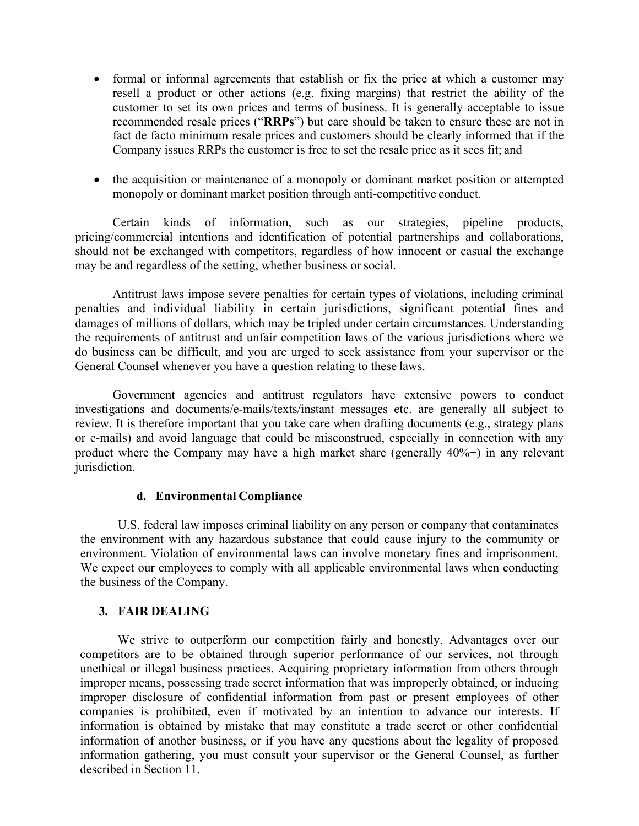- formal or informal agreements that establish or fix the price at which a customer may resell a product or other actions (e.g. fixing margins) that restrict the ability of the customer to set its own prices and terms of business. It is generally acceptable to issue recommended resale prices ("**RRPs**") but care should be taken to ensure these are not in fact de facto minimum resale prices and customers should be clearly informed that if the Company issues RRPs the customer is free to set the resale price as it sees fit; and
- the acquisition or maintenance of a monopoly or dominant market position or attempted monopoly or dominant market position through anti-competitive conduct.

Certain kinds of information, such as our strategies, pipeline products, pricing/commercial intentions and identification of potential partnerships and collaborations, should not be exchanged with competitors, regardless of how innocent or casual the exchange may be and regardless of the setting, whether business or social.

Antitrust laws impose severe penalties for certain types of violations, including criminal penalties and individual liability in certain jurisdictions, significant potential fines and damages of millions of dollars, which may be tripled under certain circumstances. Understanding the requirements of antitrust and unfair competition laws of the various jurisdictions where we do business can be difficult, and you are urged to seek assistance from your supervisor or the General Counsel whenever you have a question relating to these laws.

Government agencies and antitrust regulators have extensive powers to conduct investigations and documents/e-mails/texts/instant messages etc. are generally all subject to review. It is therefore important that you take care when drafting documents (e.g., strategy plans or e-mails) and avoid language that could be misconstrued, especially in connection with any product where the Company may have a high market share (generally 40%+) in any relevant jurisdiction.

## **d. Environmental Compliance**

U.S. federal law imposes criminal liability on any person or company that contaminates the environment with any hazardous substance that could cause injury to the community or environment. Violation of environmental laws can involve monetary fines and imprisonment. We expect our employees to comply with all applicable environmental laws when conducting the business of the Company.

## **3. FAIR DEALING**

We strive to outperform our competition fairly and honestly. Advantages over our competitors are to be obtained through superior performance of our services, not through unethical or illegal business practices. Acquiring proprietary information from others through improper means, possessing trade secret information that was improperly obtained, or inducing improper disclosure of confidential information from past or present employees of other companies is prohibited, even if motivated by an intention to advance our interests. If information is obtained by mistake that may constitute a trade secret or other confidential information of another business, or if you have any questions about the legality of proposed information gathering, you must consult your supervisor or the General Counsel, as further described in Se[ction 11.](#page-8-0)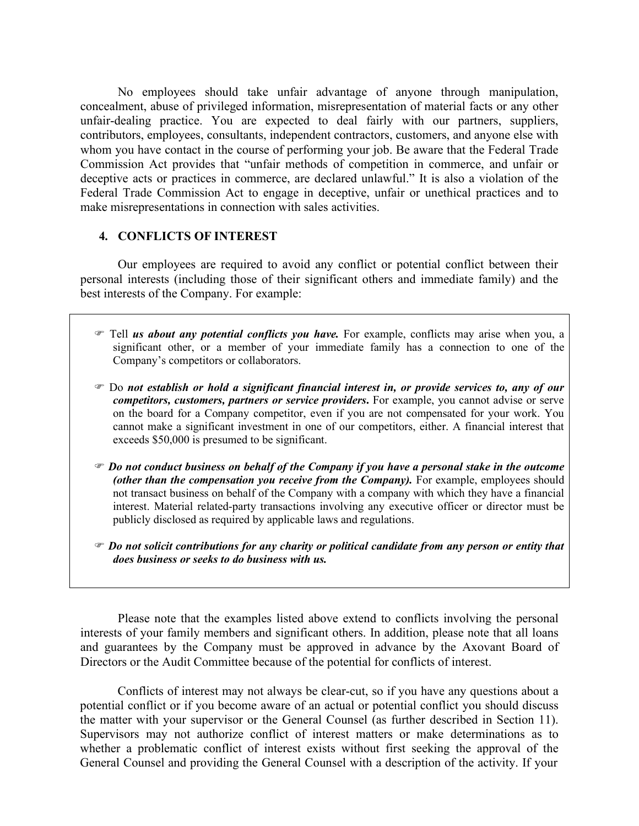No employees should take unfair advantage of anyone through manipulation, concealment, abuse of privileged information, misrepresentation of material facts or any other unfair-dealing practice. You are expected to deal fairly with our partners, suppliers, contributors, employees, consultants, independent contractors, customers, and anyone else with whom you have contact in the course of performing your job. Be aware that the Federal Trade Commission Act provides that "unfair methods of competition in commerce, and unfair or deceptive acts or practices in commerce, are declared unlawful." It is also a violation of the Federal Trade Commission Act to engage in deceptive, unfair or unethical practices and to make misrepresentations in connection with sales activities.

## **4. CONFLICTS OF INTEREST**

Our employees are required to avoid any conflict or potential conflict between their personal interests (including those of their significant others and immediate family) and the best interests of the Company. For example:

- Tell *us about any potential conflicts you have.* For example, conflicts may arise when you, a significant other, or a member of your immediate family has a connection to one of the Company's competitors or collaborators.
- Do *not establish or hold a significant financial interest in, or provide services to, any of our competitors, customers, partners or service providers***.** For example, you cannot advise or serve on the board for a Company competitor, even if you are not compensated for your work. You cannot make a significant investment in one of our competitors, either. A financial interest that exceeds \$50,000 is presumed to be significant.
- *Do not conduct business on behalf of the Company if you have a personal stake in the outcome (other than the compensation you receive from the Company)*. For example, employees should not transact business on behalf of the Company with a company with which they have a financial interest. Material related-party transactions involving any executive officer or director must be publicly disclosed as required by applicable laws and regulations.
- *Do not solicit contributions for any charity or political candidate from any person or entity that does business or seeks to do business with us.*

Please note that the examples listed above extend to conflicts involving the personal interests of your family members and significant others. In addition, please note that all loans and guarantees by the Company must be approved in advance by the Axovant Board of Directors or the Audit Committee because of the potential for conflicts of interest.

Conflicts of interest may not always be clear-cut, so if you have any questions about a potential conflict or if you become aware of an actual or potential conflict you should discuss the matter with your supervisor or the General Counsel (as further described in Section [11\)](#page-8-0). Supervisors may not authorize conflict of interest matters or make determinations as to whether a problematic conflict of interest exists without first seeking the approval of the General Counsel and providing the General Counsel with a description of the activity. If your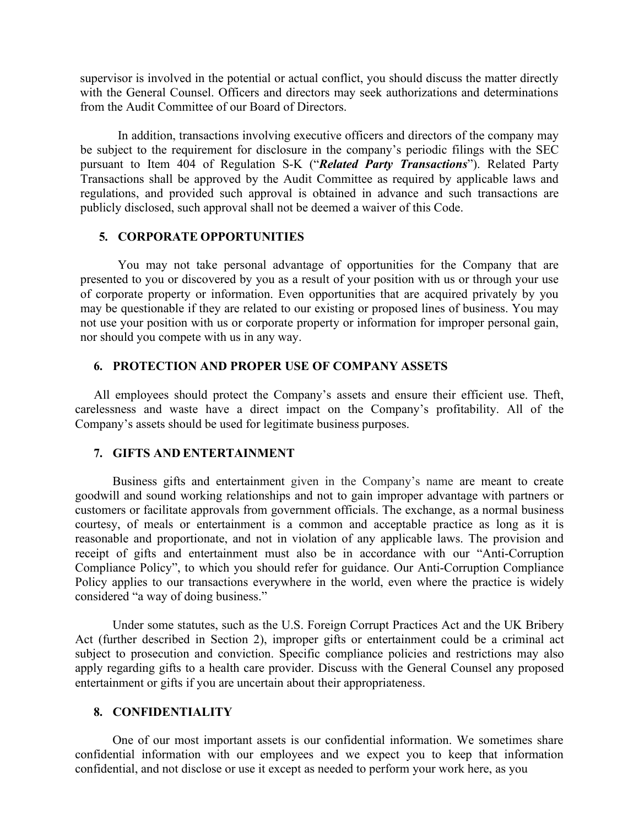supervisor is involved in the potential or actual conflict, you should discuss the matter directly with the General Counsel. Officers and directors may seek authorizations and determinations from the Audit Committee of our Board of Directors.

In addition, transactions involving executive officers and directors of the company may be subject to the requirement for disclosure in the company's periodic filings with the SEC pursuant to Item 404 of Regulation S-K ("*Related Party Transactions*"). Related Party Transactions shall be approved by the Audit Committee as required by applicable laws and regulations, and provided such approval is obtained in advance and such transactions are publicly disclosed, such approval shall not be deemed a waiver of this Code.

#### **5. CORPORATE OPPORTUNITIES**

You may not take personal advantage of opportunities for the Company that are presented to you or discovered by you as a result of your position with us or through your use of corporate property or information. Even opportunities that are acquired privately by you may be questionable if they are related to our existing or proposed lines of business. You may not use your position with us or corporate property or information for improper personal gain, nor should you compete with us in any way.

#### **6. PROTECTION AND PROPER USE OF COMPANY ASSETS**

All employees should protect the Company's assets and ensure their efficient use. Theft, carelessness and waste have a direct impact on the Company's profitability. All of the Company's assets should be used for legitimate business purposes.

#### **7. GIFTS AND ENTERTAINMENT**

Business gifts and entertainment given in the Company's name are meant to create goodwill and sound working relationships and not to gain improper advantage with partners or customers or facilitate approvals from government officials. The exchange, as a normal business courtesy, of meals or entertainment is a common and acceptable practice as long as it is reasonable and proportionate, and not in violation of any applicable laws. The provision and receipt of gifts and entertainment must also be in accordance with our "Anti-Corruption Compliance Policy", to which you should refer for guidance. Our Anti-Corruption Compliance Policy applies to our transactions everywhere in the world, even where the practice is widely considered "a way of doing business."

Under some statutes, such as the U.S. Foreign Corrupt Practices Act and the UK Bribery Act (further described in Section [2\)](#page-0-0), improper gifts or entertainment could be a criminal act subject to prosecution and conviction. Specific compliance policies and restrictions may also apply regarding gifts to a health care provider. Discuss with the General Counsel any proposed entertainment or gifts if you are uncertain about their appropriateness.

### <span id="page-5-0"></span>**8. CONFIDENTIALITY**

One of our most important assets is our confidential information. We sometimes share confidential information with our employees and we expect you to keep that information confidential, and not disclose or use it except as needed to perform your work here, as you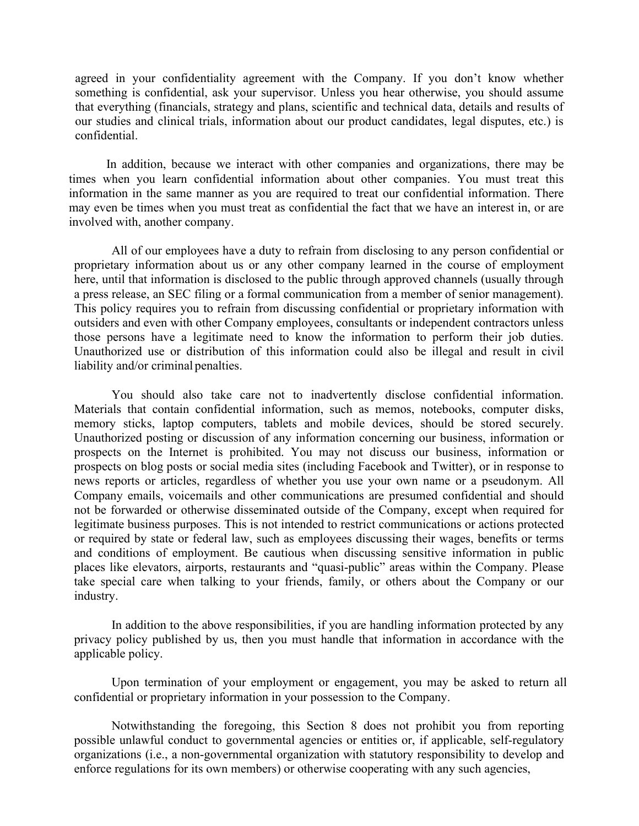agreed in your confidentiality agreement with the Company. If you don't know whether something is confidential, ask your supervisor. Unless you hear otherwise, you should assume that everything (financials, strategy and plans, scientific and technical data, details and results of our studies and clinical trials, information about our product candidates, legal disputes, etc.) is confidential.

In addition, because we interact with other companies and organizations, there may be times when you learn confidential information about other companies. You must treat this information in the same manner as you are required to treat our confidential information. There may even be times when you must treat as confidential the fact that we have an interest in, or are involved with, another company.

All of our employees have a duty to refrain from disclosing to any person confidential or proprietary information about us or any other company learned in the course of employment here, until that information is disclosed to the public through approved channels (usually through a press release, an SEC filing or a formal communication from a member of senior management). This policy requires you to refrain from discussing confidential or proprietary information with outsiders and even with other Company employees, consultants or independent contractors unless those persons have a legitimate need to know the information to perform their job duties. Unauthorized use or distribution of this information could also be illegal and result in civil liability and/or criminal penalties.

You should also take care not to inadvertently disclose confidential information. Materials that contain confidential information, such as memos, notebooks, computer disks, memory sticks, laptop computers, tablets and mobile devices, should be stored securely. Unauthorized posting or discussion of any information concerning our business, information or prospects on the Internet is prohibited. You may not discuss our business, information or prospects on blog posts or social media sites (including Facebook and Twitter), or in response to news reports or articles, regardless of whether you use your own name or a pseudonym. All Company emails, voicemails and other communications are presumed confidential and should not be forwarded or otherwise disseminated outside of the Company, except when required for legitimate business purposes. This is not intended to restrict communications or actions protected or required by state or federal law, such as employees discussing their wages, benefits or terms and conditions of employment. Be cautious when discussing sensitive information in public places like elevators, airports, restaurants and "quasi-public" areas within the Company. Please take special care when talking to your friends, family, or others about the Company or our industry.

In addition to the above responsibilities, if you are handling information protected by any privacy policy published by us, then you must handle that information in accordance with the applicable policy.

Upon termination of your employment or engagement, you may be asked to return all confidential or proprietary information in your possession to the Company.

Notwithstanding the foregoing, this Section [8](#page-5-0) does not prohibit you from reporting possible unlawful conduct to governmental agencies or entities or, if applicable, self-regulatory organizations (i.e., a non-governmental organization with statutory responsibility to develop and enforce regulations for its own members) or otherwise cooperating with any such agencies,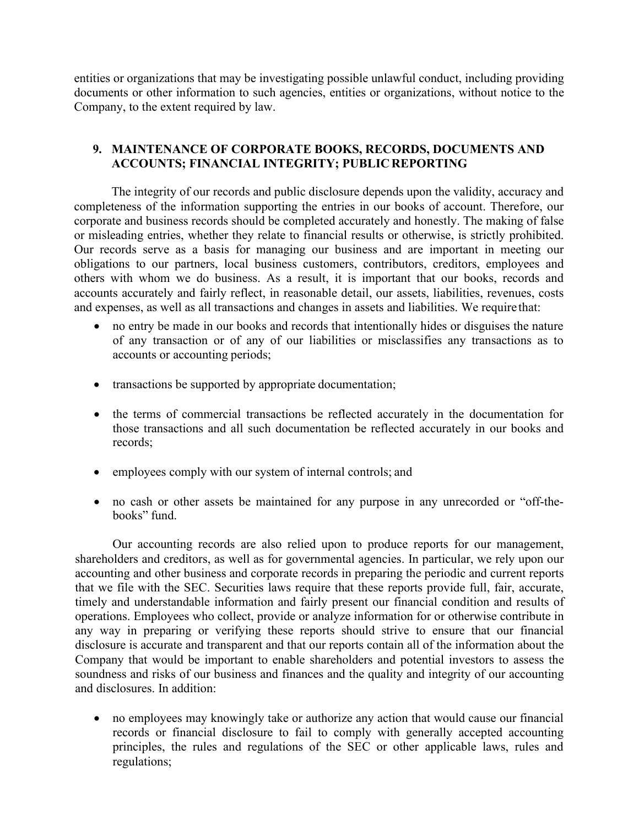entities or organizations that may be investigating possible unlawful conduct, including providing documents or other information to such agencies, entities or organizations, without notice to the Company, to the extent required by law.

# **9. MAINTENANCE OF CORPORATE BOOKS, RECORDS, DOCUMENTS AND ACCOUNTS; FINANCIAL INTEGRITY; PUBLIC REPORTING**

The integrity of our records and public disclosure depends upon the validity, accuracy and completeness of the information supporting the entries in our books of account. Therefore, our corporate and business records should be completed accurately and honestly. The making of false or misleading entries, whether they relate to financial results or otherwise, is strictly prohibited. Our records serve as a basis for managing our business and are important in meeting our obligations to our partners, local business customers, contributors, creditors, employees and others with whom we do business. As a result, it is important that our books, records and accounts accurately and fairly reflect, in reasonable detail, our assets, liabilities, revenues, costs and expenses, as well as all transactions and changes in assets and liabilities. We require that:

- no entry be made in our books and records that intentionally hides or disguises the nature of any transaction or of any of our liabilities or misclassifies any transactions as to accounts or accounting periods;
- transactions be supported by appropriate documentation;
- the terms of commercial transactions be reflected accurately in the documentation for those transactions and all such documentation be reflected accurately in our books and records;
- employees comply with our system of internal controls; and
- no cash or other assets be maintained for any purpose in any unrecorded or "off-thebooks" fund.

Our accounting records are also relied upon to produce reports for our management, shareholders and creditors, as well as for governmental agencies. In particular, we rely upon our accounting and other business and corporate records in preparing the periodic and current reports that we file with the SEC. Securities laws require that these reports provide full, fair, accurate, timely and understandable information and fairly present our financial condition and results of operations. Employees who collect, provide or analyze information for or otherwise contribute in any way in preparing or verifying these reports should strive to ensure that our financial disclosure is accurate and transparent and that our reports contain all of the information about the Company that would be important to enable shareholders and potential investors to assess the soundness and risks of our business and finances and the quality and integrity of our accounting and disclosures. In addition:

• no employees may knowingly take or authorize any action that would cause our financial records or financial disclosure to fail to comply with generally accepted accounting principles, the rules and regulations of the SEC or other applicable laws, rules and regulations;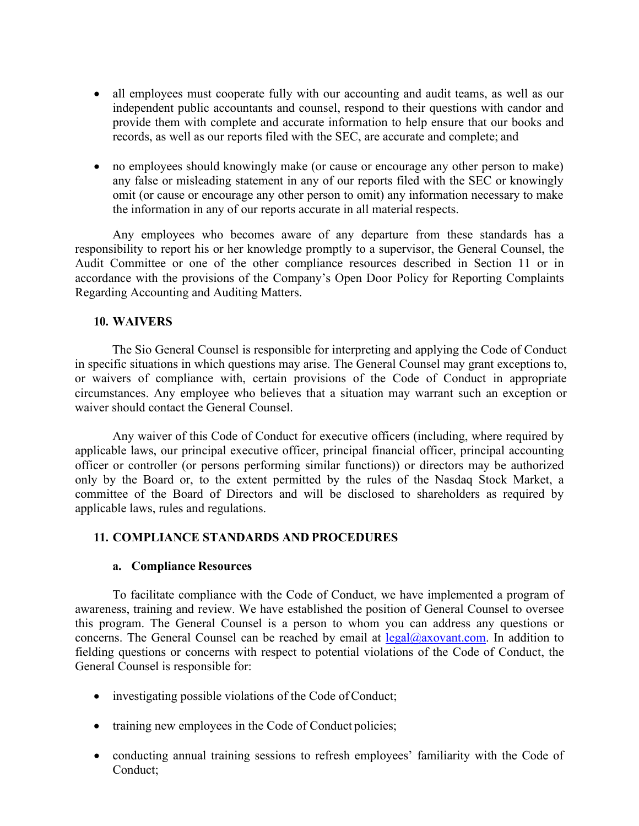- all employees must cooperate fully with our accounting and audit teams, as well as our independent public accountants and counsel, respond to their questions with candor and provide them with complete and accurate information to help ensure that our books and records, as well as our reports filed with the SEC, are accurate and complete; and
- no employees should knowingly make (or cause or encourage any other person to make) any false or misleading statement in any of our reports filed with the SEC or knowingly omit (or cause or encourage any other person to omit) any information necessary to make the information in any of our reports accurate in all material respects.

Any employees who becomes aware of any departure from these standards has a responsibility to report his or her knowledge promptly to a supervisor, the General Counsel, the Audit Committee or one of the other compliance resources described in Section [11](#page-8-0) or in accordance with the provisions of the Company's Open Door Policy for Reporting Complaints Regarding Accounting and Auditing Matters.

## **10. WAIVERS**

The Sio General Counsel is responsible for interpreting and applying the Code of Conduct in specific situations in which questions may arise. The General Counsel may grant exceptions to, or waivers of compliance with, certain provisions of the Code of Conduct in appropriate circumstances. Any employee who believes that a situation may warrant such an exception or waiver should contact the General Counsel.

Any waiver of this Code of Conduct for executive officers (including, where required by applicable laws, our principal executive officer, principal financial officer, principal accounting officer or controller (or persons performing similar functions)) or directors may be authorized only by the Board or, to the extent permitted by the rules of the Nasdaq Stock Market, a committee of the Board of Directors and will be disclosed to shareholders as required by applicable laws, rules and regulations.

## <span id="page-8-0"></span>**11. COMPLIANCE STANDARDS AND PROCEDURES**

#### **a. Compliance Resources**

To facilitate compliance with the Code of Conduct, we have implemented a program of awareness, training and review. We have established the position of General Counsel to oversee this program. The General Counsel is a person to whom you can address any questions or concerns. The General Counsel can be reached by email at  $\text{legal@axovant.com}$ . In addition to fielding questions or concerns with respect to potential violations of the Code of Conduct, the General Counsel is responsible for:

- investigating possible violations of the Code of Conduct;
- training new employees in the Code of Conduct policies;
- conducting annual training sessions to refresh employees' familiarity with the Code of Conduct;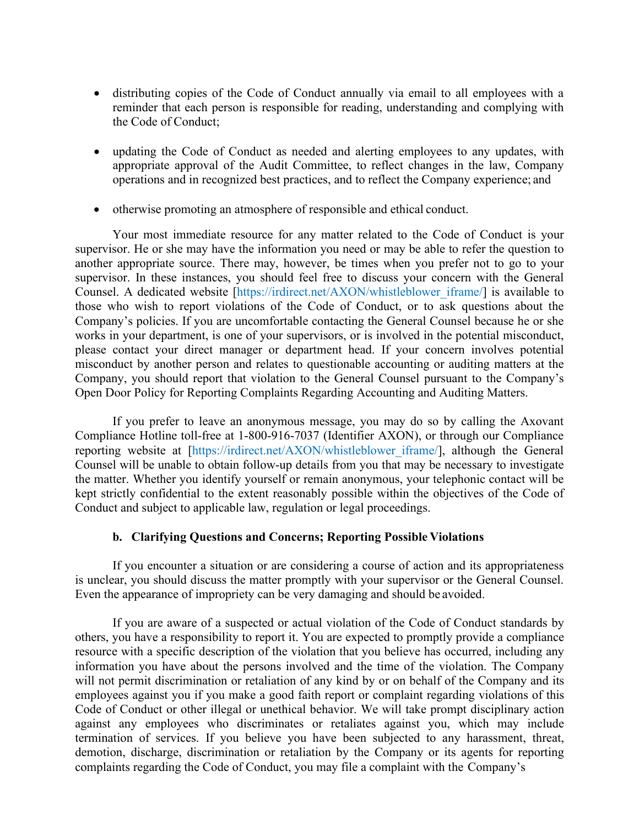- distributing copies of the Code of Conduct annually via email to all employees with a reminder that each person is responsible for reading, understanding and complying with the Code of Conduct;
- updating the Code of Conduct as needed and alerting employees to any updates, with appropriate approval of the Audit Committee, to reflect changes in the law, Company operations and in recognized best practices, and to reflect the Company experience; and
- otherwise promoting an atmosphere of responsible and ethical conduct.

Your most immediate resource for any matter related to the Code of Conduct is your supervisor. He or she may have the information you need or may be able to refer the question to another appropriate source. There may, however, be times when you prefer not to go to your supervisor. In these instances, you should feel free to discuss your concern with the General Counsel. A dedicated website [https://irdirect.net/AXON/whistleblower\_iframe/] is available to those who wish to report violations of the Code of Conduct, or to ask questions about the Company's policies. If you are uncomfortable contacting the General Counsel because he or she works in your department, is one of your supervisors, or is involved in the potential misconduct, please contact your direct manager or department head. If your concern involves potential misconduct by another person and relates to questionable accounting or auditing matters at the Company, you should report that violation to the General Counsel pursuant to the Company's Open Door Policy for Reporting Complaints Regarding Accounting and Auditing Matters.

If you prefer to leave an anonymous message, you may do so by calling the Axovant Compliance Hotline toll-free at 1-800-916-7037 (Identifier AXON), or through our Compliance reporting website at [https://irdirect.net/AXON/whistleblower iframe/], although the General Counsel will be unable to obtain follow-up details from you that may be necessary to investigate the matter. Whether you identify yourself or remain anonymous, your telephonic contact will be kept strictly confidential to the extent reasonably possible within the objectives of the Code of Conduct and subject to applicable law, regulation or legal proceedings.

# **b. Clarifying Questions and Concerns; Reporting Possible Violations**

<span id="page-9-0"></span>If you encounter a situation or are considering a course of action and its appropriateness is unclear, you should discuss the matter promptly with your supervisor or the General Counsel. Even the appearance of impropriety can be very damaging and should be avoided.

If you are aware of a suspected or actual violation of the Code of Conduct standards by others, you have a responsibility to report it. You are expected to promptly provide a compliance resource with a specific description of the violation that you believe has occurred, including any information you have about the persons involved and the time of the violation. The Company will not permit discrimination or retaliation of any kind by or on behalf of the Company and its employees against you if you make a good faith report or complaint regarding violations of this Code of Conduct or other illegal or unethical behavior. We will take prompt disciplinary action against any employees who discriminates or retaliates against you, which may include termination of services. If you believe you have been subjected to any harassment, threat, demotion, discharge, discrimination or retaliation by the Company or its agents for reporting complaints regarding the Code of Conduct, you may file a complaint with the Company's